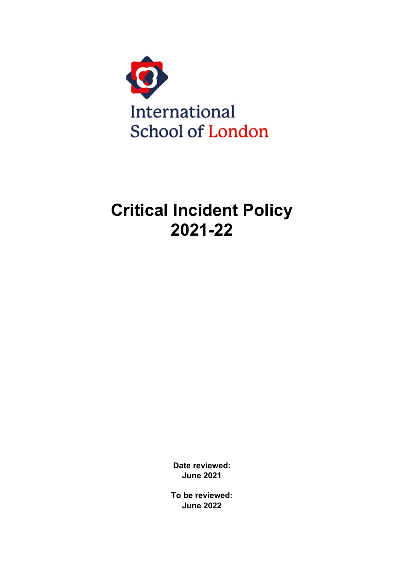

# **Critical Incident Policy 2021-22**

**Date reviewed: June 2021**

**To be reviewed: June 2022**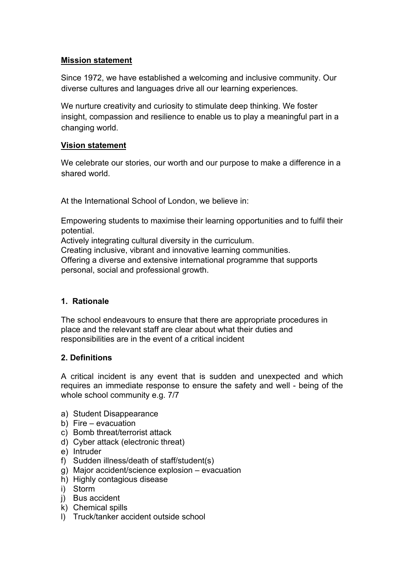# **Mission statement**

Since 1972, we have established a welcoming and inclusive community. Our diverse cultures and languages drive all our learning experiences.

We nurture creativity and curiosity to stimulate deep thinking. We foster insight, compassion and resilience to enable us to play a meaningful part in a changing world.

# **Vision statement**

We celebrate our stories, our worth and our purpose to make a difference in a shared world.

At the International School of London, we believe in:

Empowering students to maximise their learning opportunities and to fulfil their potential.

Actively integrating cultural diversity in the curriculum.

Creating inclusive, vibrant and innovative learning communities. Offering a diverse and extensive international programme that supports personal, social and professional growth.

# **1. Rationale**

The school endeavours to ensure that there are appropriate procedures in place and the relevant staff are clear about what their duties and responsibilities are in the event of a critical incident

# **2. Definitions**

A critical incident is any event that is sudden and unexpected and which requires an immediate response to ensure the safety and well - being of the whole school community e.g. 7/7

- a) Student Disappearance
- b) Fire evacuation
- c) Bomb threat/terrorist attack
- d) Cyber attack (electronic threat)
- e) Intruder
- f) Sudden illness/death of staff/student(s)
- g) Major accident/science explosion evacuation
- h) Highly contagious disease
- i) Storm
- j) Bus accident
- k) Chemical spills
- l) Truck/tanker accident outside school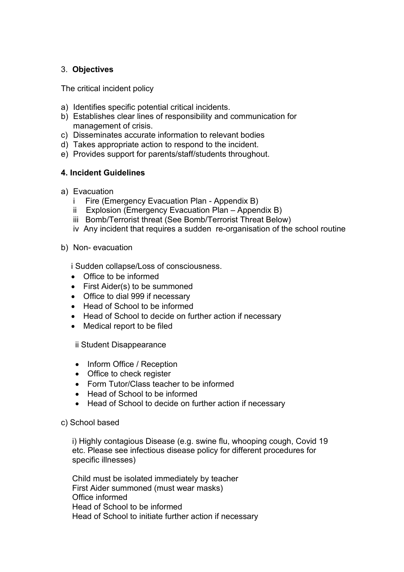# 3. **Objectives**

The critical incident policy

- a) Identifies specific potential critical incidents.
- b) Establishes clear lines of responsibility and communication for management of crisis.
- c) Disseminates accurate information to relevant bodies
- d) Takes appropriate action to respond to the incident.
- e) Provides support for parents/staff/students throughout.

# **4. Incident Guidelines**

- a) Evacuation
	- i Fire (Emergency Evacuation Plan Appendix B)
	- ii Explosion (Emergency Evacuation Plan Appendix B)
	- iii Bomb/Terrorist threat (See Bomb/Terrorist Threat Below)
	- iv Any incident that requires a sudden re-organisation of the school routine
- b) Non- evacuation

i Sudden collapse/Loss of consciousness.

- Office to be informed
- First Aider(s) to be summoned
- Office to dial 999 if necessary
- Head of School to be informed
- Head of School to decide on further action if necessary
- Medical report to be filed

ii Student Disappearance

- Inform Office / Reception
- Office to check register
- Form Tutor/Class teacher to be informed
- Head of School to be informed
- Head of School to decide on further action if necessary
- c) School based

i) Highly contagious Disease (e.g. swine flu, whooping cough, Covid 19 etc. Please see infectious disease policy for different procedures for specific illnesses)

Child must be isolated immediately by teacher First Aider summoned (must wear masks) Office informed Head of School to be informed Head of School to initiate further action if necessary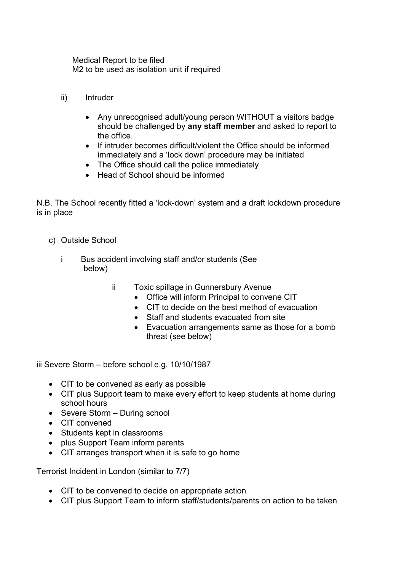Medical Report to be filed M2 to be used as isolation unit if required

- ii) Intruder
	- Any unrecognised adult/young person WITHOUT a visitors badge should be challenged by **any staff member** and asked to report to the office.
	- If intruder becomes difficult/violent the Office should be informed immediately and a 'lock down' procedure may be initiated
	- The Office should call the police immediately
	- Head of School should be informed

N.B. The School recently fitted a 'lock-down' system and a draft lockdown procedure is in place

- c) Outside School
	- i Bus accident involving staff and/or students (See below)
		- ii Toxic spillage in Gunnersbury Avenue
			- Office will inform Principal to convene CIT
			- CIT to decide on the best method of evacuation
			- Staff and students evacuated from site
			- Evacuation arrangements same as those for a bomb threat (see below)

iii Severe Storm – before school e.g. 10/10/1987

- CIT to be convened as early as possible
- CIT plus Support team to make every effort to keep students at home during school hours
- Severe Storm During school
- CIT convened
- Students kept in classrooms
- plus Support Team inform parents
- CIT arranges transport when it is safe to go home

Terrorist Incident in London (similar to 7/7)

- CIT to be convened to decide on appropriate action
- CIT plus Support Team to inform staff/students/parents on action to be taken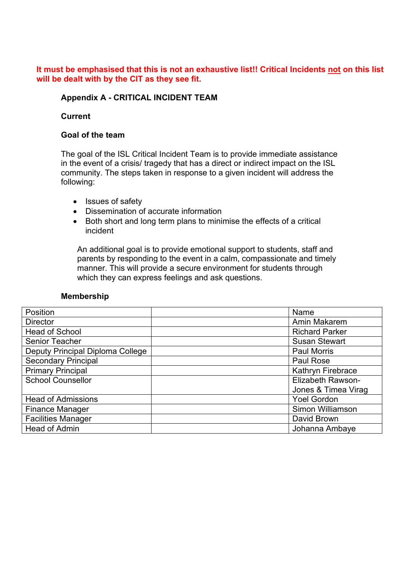#### **It must be emphasised that this is not an exhaustive list!! Critical Incidents not on this list will be dealt with by the CIT as they see fit.**

#### **Appendix A - CRITICAL INCIDENT TEAM**

#### **Current**

#### **Goal of the team**

The goal of the ISL Critical Incident Team is to provide immediate assistance in the event of a crisis/ tragedy that has a direct or indirect impact on the ISL community. The steps taken in response to a given incident will address the following:

- Issues of safety
- Dissemination of accurate information
- Both short and long term plans to minimise the effects of a critical incident

An additional goal is to provide emotional support to students, staff and parents by responding to the event in a calm, compassionate and timely manner. This will provide a secure environment for students through which they can express feelings and ask questions.

#### **Membership**

| Position                         | Name                     |
|----------------------------------|--------------------------|
| <b>Director</b>                  | Amin Makarem             |
| <b>Head of School</b>            | <b>Richard Parker</b>    |
| <b>Senior Teacher</b>            | <b>Susan Stewart</b>     |
| Deputy Principal Diploma College | <b>Paul Morris</b>       |
| <b>Secondary Principal</b>       | Paul Rose                |
| <b>Primary Principal</b>         | Kathryn Firebrace        |
| <b>School Counsellor</b>         | <b>Elizabeth Rawson-</b> |
|                                  | Jones & Timea Virag      |
| <b>Head of Admissions</b>        | <b>Yoel Gordon</b>       |
| <b>Finance Manager</b>           | Simon Williamson         |
| <b>Facilities Manager</b>        | David Brown              |
| <b>Head of Admin</b>             | Johanna Ambaye           |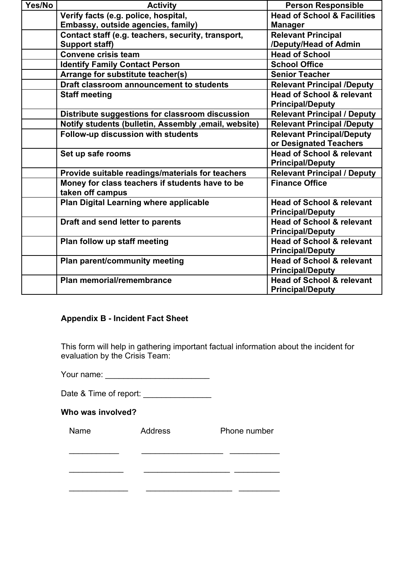| Yes/No | <b>Activity</b>                                       | <b>Person Responsible</b>              |
|--------|-------------------------------------------------------|----------------------------------------|
|        | Verify facts (e.g. police, hospital,                  | <b>Head of School &amp; Facilities</b> |
|        | Embassy, outside agencies, family)                    | <b>Manager</b>                         |
|        | Contact staff (e.g. teachers, security, transport,    | <b>Relevant Principal</b>              |
|        | <b>Support staff)</b>                                 | /Deputy/Head of Admin                  |
|        | <b>Convene crisis team</b>                            | <b>Head of School</b>                  |
|        | <b>Identify Family Contact Person</b>                 | <b>School Office</b>                   |
|        | Arrange for substitute teacher(s)                     | <b>Senior Teacher</b>                  |
|        | Draft classroom announcement to students              | <b>Relevant Principal /Deputy</b>      |
|        | <b>Staff meeting</b>                                  | <b>Head of School &amp; relevant</b>   |
|        |                                                       | <b>Principal/Deputy</b>                |
|        | Distribute suggestions for classroom discussion       | <b>Relevant Principal / Deputy</b>     |
|        | Notify students (bulletin, Assembly , email, website) | <b>Relevant Principal /Deputy</b>      |
|        | Follow-up discussion with students                    | <b>Relevant Principal/Deputy</b>       |
|        |                                                       | or Designated Teachers                 |
|        | Set up safe rooms                                     | <b>Head of School &amp; relevant</b>   |
|        |                                                       | <b>Principal/Deputy</b>                |
|        | Provide suitable readings/materials for teachers      | <b>Relevant Principal / Deputy</b>     |
|        | Money for class teachers if students have to be       | <b>Finance Office</b>                  |
|        | taken off campus                                      |                                        |
|        | Plan Digital Learning where applicable                | <b>Head of School &amp; relevant</b>   |
|        |                                                       | <b>Principal/Deputy</b>                |
|        | Draft and send letter to parents                      | <b>Head of School &amp; relevant</b>   |
|        |                                                       | <b>Principal/Deputy</b>                |
|        | Plan follow up staff meeting                          | <b>Head of School &amp; relevant</b>   |
|        |                                                       | <b>Principal/Deputy</b>                |
|        | Plan parent/community meeting                         | <b>Head of School &amp; relevant</b>   |
|        |                                                       | <b>Principal/Deputy</b>                |
|        | Plan memorial/remembrance                             | <b>Head of School &amp; relevant</b>   |
|        |                                                       | <b>Principal/Deputy</b>                |

# **Appendix B - Incident Fact Sheet**

This form will help in gathering important factual information about the incident for evaluation by the Crisis Team:

Your name: \_\_\_\_\_\_\_\_\_\_\_\_\_\_\_\_\_\_\_\_\_\_\_

Date & Time of report: \_\_\_\_\_\_\_\_\_\_\_\_\_\_\_

# **Who was involved?**

| Name | Address | Phone number |
|------|---------|--------------|
|      |         |              |
|      |         |              |
|      |         |              |